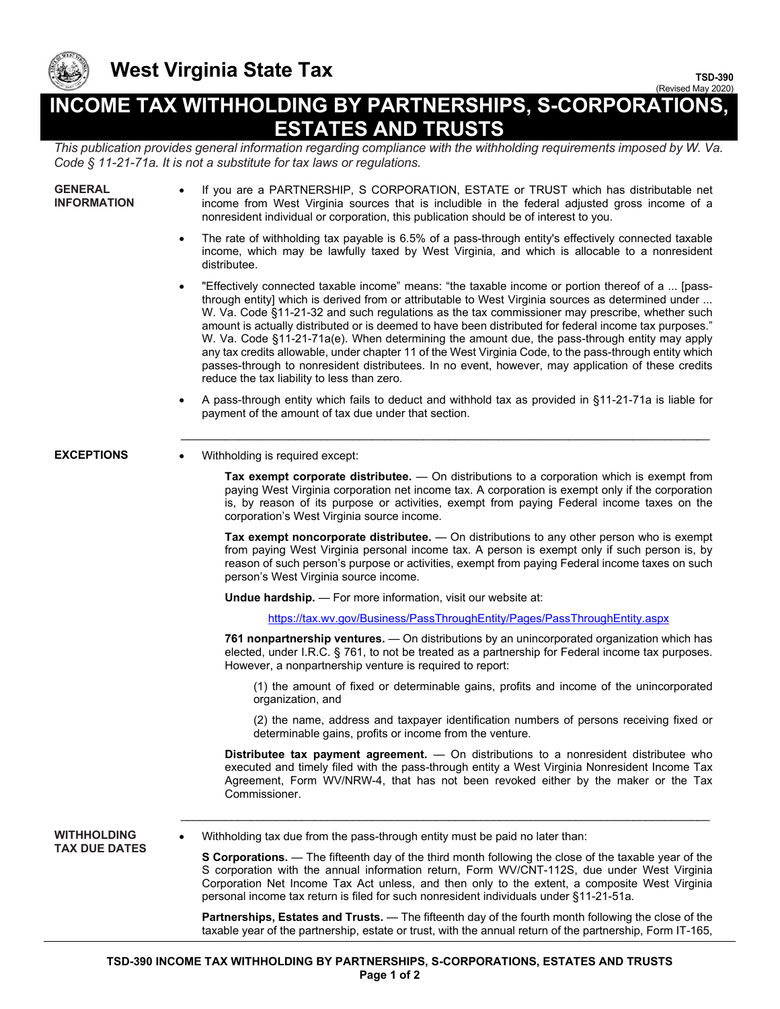

## **West Virginia State Tax**

**TSD-390** (Revised May 2020)

## **INCOME TAX WITHHOLDING BY PARTNERSHIPS, S-CORPORATIONS, ESTATES AND TRUSTS**

*This publication provides general information regarding compliance with the withholding requirements imposed by W. Va. Code § 11-21-71a. It is not a substitute for tax laws or regulations.* 

| <b>GENERAL</b><br>INFORMATION | If you are a PARTNERSHIP, S CORPORATION, ESTATE or TRUST which has distributable net<br>income from West Virginia sources that is includible in the federal adjusted gross income of a<br>nonresident individual or corporation, this publication should be of interest to you.                                                                                                                                                                                                                                                                                                                                                                                                                                                                                                                   |
|-------------------------------|---------------------------------------------------------------------------------------------------------------------------------------------------------------------------------------------------------------------------------------------------------------------------------------------------------------------------------------------------------------------------------------------------------------------------------------------------------------------------------------------------------------------------------------------------------------------------------------------------------------------------------------------------------------------------------------------------------------------------------------------------------------------------------------------------|
|                               | The rate of withholding tax payable is 6.5% of a pass-through entity's effectively connected taxable<br>$\bullet$<br>income, which may be lawfully taxed by West Virginia, and which is allocable to a nonresident<br>distributee.                                                                                                                                                                                                                                                                                                                                                                                                                                                                                                                                                                |
|                               | "Effectively connected taxable income" means: "the taxable income or portion thereof of a  [pass-<br>$\bullet$<br>through entity] which is derived from or attributable to West Virginia sources as determined under<br>W. Va. Code §11-21-32 and such regulations as the tax commissioner may prescribe, whether such<br>amount is actually distributed or is deemed to have been distributed for federal income tax purposes."<br>W. Va. Code §11-21-71a(e). When determining the amount due, the pass-through entity may apply<br>any tax credits allowable, under chapter 11 of the West Virginia Code, to the pass-through entity which<br>passes-through to nonresident distributees. In no event, however, may application of these credits<br>reduce the tax liability to less than zero. |
|                               | A pass-through entity which fails to deduct and withhold tax as provided in §11-21-71a is liable for<br>$\bullet$<br>payment of the amount of tax due under that section.                                                                                                                                                                                                                                                                                                                                                                                                                                                                                                                                                                                                                         |
| <b>EXCEPTIONS</b>             | Withholding is required except:                                                                                                                                                                                                                                                                                                                                                                                                                                                                                                                                                                                                                                                                                                                                                                   |
|                               | Tax exempt corporate distributee. - On distributions to a corporation which is exempt from<br>paying West Virginia corporation net income tax. A corporation is exempt only if the corporation<br>is, by reason of its purpose or activities, exempt from paying Federal income taxes on the<br>corporation's West Virginia source income.                                                                                                                                                                                                                                                                                                                                                                                                                                                        |
|                               | Tax exempt noncorporate distributee. - On distributions to any other person who is exempt<br>from paying West Virginia personal income tax. A person is exempt only if such person is, by<br>reason of such person's purpose or activities, exempt from paying Federal income taxes on such<br>person's West Virginia source income.                                                                                                                                                                                                                                                                                                                                                                                                                                                              |
|                               | Undue hardship. - For more information, visit our website at:                                                                                                                                                                                                                                                                                                                                                                                                                                                                                                                                                                                                                                                                                                                                     |
|                               | https://tax.wv.gov/Business/PassThroughEntity/Pages/PassThroughEntity.aspx                                                                                                                                                                                                                                                                                                                                                                                                                                                                                                                                                                                                                                                                                                                        |
|                               | 761 nonpartnership ventures. - On distributions by an unincorporated organization which has<br>elected, under I.R.C. § 761, to not be treated as a partnership for Federal income tax purposes.<br>However, a nonpartnership venture is required to report:                                                                                                                                                                                                                                                                                                                                                                                                                                                                                                                                       |
|                               | (1) the amount of fixed or determinable gains, profits and income of the unincorporated<br>organization, and                                                                                                                                                                                                                                                                                                                                                                                                                                                                                                                                                                                                                                                                                      |
|                               | (2) the name, address and taxpayer identification numbers of persons receiving fixed or<br>determinable gains, profits or income from the venture.                                                                                                                                                                                                                                                                                                                                                                                                                                                                                                                                                                                                                                                |
|                               | Distributee tax payment agreement. - On distributions to a nonresident distributee who<br>executed and timely filed with the pass-through entity a West Virginia Nonresident Income Tax<br>Agreement, Form WV/NRW-4, that has not been revoked either by the maker or the Tax<br>Commissioner.                                                                                                                                                                                                                                                                                                                                                                                                                                                                                                    |
| WITHHOLDING                   | Withholding tax due from the pass-through entity must be paid no later than:                                                                                                                                                                                                                                                                                                                                                                                                                                                                                                                                                                                                                                                                                                                      |
| <b>TAX DUE DATES</b>          | <b>S Corporations.</b> — The fifteenth day of the third month following the close of the taxable year of the<br>S corporation with the annual information return, Form WV/CNT-112S, due under West Virginia<br>Corporation Net Income Tax Act unless, and then only to the extent, a composite West Virginia<br>personal income tax return is filed for such nonresident individuals under §11-21-51a.                                                                                                                                                                                                                                                                                                                                                                                            |
|                               | Partnerships, Estates and Trusts. - The fifteenth day of the fourth month following the close of the<br>taxable year of the partnership, estate or trust, with the annual return of the partnership, Form IT-165,                                                                                                                                                                                                                                                                                                                                                                                                                                                                                                                                                                                 |